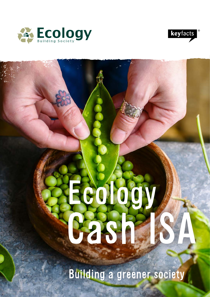



# Cash ISA Ecology

Building a greener society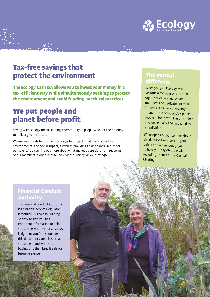

# Tax-free savings that protect the environment

The Ecology Cash ISA allows you to invest your money in a tax-efficient way while simultaneously seeking to protect the environment and avoid funding unethical practices.

# We put people and planet before profit

Saving with Ecology means joining a community of people who use their money to build a greener future.

We use your funds to provide mortgages for projects that make a positive environmental and social impact, as well as providing a fair financial return for our savers. You can find out more about what makes us special and meet some of our members in our brochure: *Why choose Ecology for your savings?*

## The mutual difference

When you join Ecology, you become a member of a mutual organisation, owned by our members and dedicated to their interests. It's a way of making finance more democratic – putting people before profit. Every member is valued equally and respected as an individual.

We're open and transparent about the decisions we make on your behalf and we encourage you to have your say on our work, including at our Annual General Meeting.

### Financial Conduct Authority

The Financial Conduct Authority is a financial services regulator. It requires us, Ecology Building Society, to give you this important information to help you decide whether our Cash ISA is right for you. You should read this document carefully so that you understand what you are buying, and then keep it safe for future reference.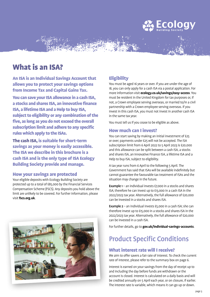

# What is an ISA?

An ISA is an Individual Savings Account that allows you to protect your savings options from Income Tax and Capital Gains Tax.

You can save your ISA allowance in a cash ISA, a stocks and shares ISA, an innovative finance ISA, a lifetime ISA and a Help to buy ISA, subject to eligibility or any combination of the five, as long as you do not exceed the overall subscription limit and adhere to any specific rules which apply to the ISAs.

The cash ISA, is suitable for short-term savings as your money is easily accessible. The ISA we describe in this brochure is a cash ISA and is the only type of ISA Ecology Building Society provide and manage.

### How your savings are protected

Your eligible deposits with Ecology Building Society are protected up to a total of £85,000 by the Financial Services Compensation Scheme (FSCS). Any deposits you hold above the limit are unlikely to be covered. For further information, please visit **fscs.org.uk**.



### **Eligibility**

You must be aged 16 years or over. If you are under the age of 18, you can only apply for a cash ISA via a postal application. For more information visit **ecology.co.uk/savings/easy-access**. You must be resident in the United Kingdom for tax purposes or, if not, a Crown employee serving overseas, or married to/in a civil partnership with a Crown employee serving overseas. If you invest in this cash ISA, you must not invest in another cash ISA in the same tax year.

You must tell us if you cease to be eligible as above.

### How much can I invest?

You can start saving by making an initial investment of £25 or over; payments under £25 will not be accepted. The ISA subscription limit from 6 April 2022 to 5 April 2023 is £20,000 and this allowance can be split between a cash ISA, a stocks and shares ISA, an Innovative Finance ISA, a lifetime ISA and a Help to buy ISA, subject to eligibility.

A tax year runs from 6 April to the following 5 April. The Government has said that ISAs will be available indefinitely but cannot guarantee the favourable tax treatment of ISAs and the situation may change in the future.

**Example 1** – an individual invests  $£7,000$  in a stocks and shares ISA; therefore he can invest up to £13,000 in a cash ISA in the 2022/2023 tax year. Alternatively, the full allowance of £20,000 can be invested in a stocks and shares ISA.

**Example 2** – an individual invests  $£5,000$  in a cash ISA; she can therefore invest up to £15,000 in a stocks and shares ISA in the 2022/2023 tax year. Alternatively, the full allowance of £20,000 can be invested in a cash ISA.

For further details, go to **gov.uk/individual-savings-accounts**.

# Product Specific Conditions

### What interest rate will I receive?

We aim to offer savers a fair rate of interest. To check the current rate of interest, please refer to the summary box on page 6.

Interest is earned on your savings from the day of receipt up to and including the day before funds are withdrawn or the account is closed. Interest is calculated on a daily basis and will be credited annually on 5 April each year, or on closure, if earlier. The interest rate is variable, which means it can go up or down.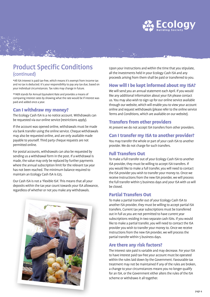

# Product Specific Conditions (continued)

\*All ISA interest is paid tax-free, which means it's exempt from income tax and no tax is deducted. It's your responsibility to pay any tax due, based on your individual circumstances. Tax rules may change in future.

\*\*AER stands for Annual Equivalent Rate and provides a means of comparing interest rates by showing what the rate would be if interest was paid and added once a year.

### Can I withdraw my money?

The Ecology Cash ISA is a no notice account. Withdrawals can be requested via our online service (restrictions apply).

If the account was opened online, withdrawals must be made via bank transfer using the online service. Cheque withdrawals may also be requested online, and are only available made payable to yourself. Third party cheque requests are not permitted online.

For postal accounts, withdrawals can also be requested by sending us a withdrawal form in the post. If a withdrawal is made, the value may only be replaced by further payments where the annual subscription limit for the relevant tax year has not been reached. The minimum balance required to maintain an Ecology Cash ISA is £25.

Our Cash ISA is not a 'Flexible ISA'. This means that all your deposits within the tax year count towards your ISA allowance, regardless of whether or not you make any withdrawals.



Upon your instructions and within the time that you stipulate, all the investments held in your Ecology Cash ISA and any proceeds arising from them shall be paid or transferred to you.

### How will I be kept informed about my ISA?

We will send you an annual statement each April. If you would like any additional information about your ISA please contact us. You may also wish to sign up for our online service available through our website, which will enable you to view your account online and request withdrawals (please refer to the online service Terms and Conditions, which are available on our website).

### Transfers from other providers

At present we do not accept ISA transfers from other providers.

### Can I transfer my ISA to another provider?

You may transfer the whole or part of your cash ISA to another provider. We do not charge for such transfers.

### Full Transfers Out

To make a full transfer out of your Ecology Cash ISA to another ISA provider, they must be willing to accept ISA transfers. If you would like to make a full transfer, you will need to contact the ISA provider you wish to transfer your money to. Once we receive instructions from the new ISA provider, we will process the full transfer within 5 business days and your ISA with us will be closed.

### Partial Transfers Out

To make a partial transfer out of your Ecology Cash ISA to another ISA provider, they must be willing to accept partial ISA transfers. Current tax year subscriptions must be transferred out in full as you are not permitted to have current year subscriptions residing in two separate cash ISAs. If you would like to make a partial transfer, you will need to contact the ISA provider you wish to transfer your money to. Once we receive instructions from the new ISA provider, we will process the partial transfer within 5 business days.

### Are there any risk factors?

The interest rate paid is variable and may decrease. For your ISA to have interest paid tax-free your account must be operated within the rules laid down by the Government. Favourable tax treatment may not be maintained if any of the rules are broken, a change to your circumstances means you no longer qualify for an ISA, or the Government either alters the rules of the ISA scheme or withdraws it all together.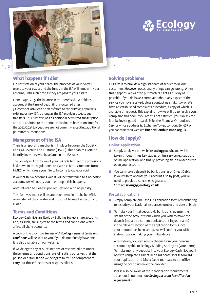

### What happens if I die?

On notification of your death, the proceeds of your ISA will revert to your estate and the funds in the ISA will remain in your account, until such time as they are paid to your estate.

From 6 April 2015, the balance in the deceased ISA holder's account at the time of death (if this occurred after 3 December 2014) can be transferred to the surviving spouse's existing or new ISA, as long as the ISA provider accepts such transfers. This is known as an additional permitted subscription and is in addition to the annual individual subscription limit for the 2022/2023 tax year. We are not currently accepting additional permitted subscriptions.

### Management of the ISA

There is a reporting mechanism in place between the Society and HM Revenue and Customs (HMRC). This enables HMRC to identify investors who have broken the ISA rules.

The Society will notify you if your ISA fails to meet the provisions laid down in the regulations, or if we receive instructions from HMRC, which cause your ISA to become taxable, or void.

If your cash ISA becomes void it will be transferred to a no notice account. We will notify you in writing if this happens.

Accounts can be closed upon request and with no penalty.

The ISA investment will be, and must remain in, the beneficial ownership of the investor and must not be used as security for a loan.

### Terms and Conditions

Ecology Cash ISAs are Ecology Building Society share accounts and, as such, are subject to the terms and conditions which affect all share accounts.

A copy of the brochure *Saving with Ecology - general terms and conditions* will be sent to you if you do not already have one. It is also available on our website.

If we delegate any of our functions or responsibilities under these terms and conditions, we will satisfy ourselves that the person or organisation we delegate to, will be competent to carry out those functions or responsibilities.

### Solving problems

بالمراج

Our aim is to provide a high standard of service to all our customers. However, occasionally things can go wrong. When this happens, we want to put matters right as quickly as possible. If you do have a complaint about any aspect of the service you have received, please contact us straightaway. We have an established complaints procedure, a copy of which is available on request. This explains how we will try to resolve your complaint and how, if you are still not satisfied, you can ask for it to be investigated impartially by the Financial Ombudsman Service whose address is: Exchange Tower, London, E14 9SR or you can visit their website financial-ombudsman.org.uk.

**ECOLOGY** 

### How do I apply?

### **Online Applications**

- **n** Simply apply via our website **ecology.co.uk**. You will be taken through three key stages: online service registration; online application, and finally, providing an initial deposit to open your account.
- You can make a deposit by bank transfer or Direct Debit. If you wish to operate your account also by post, you will need to provide a specimen signature. Contact **savings@ecology.co.uk**.

### **Postal applications**

- **n** Simply complete our Cash ISA application form remembering to include your National Insurance number and date of birth.
- $\blacksquare$  To make your initial deposit via bank transfer, enter the details of the account from which you wish to make the deposit (must be a current bank account in your name) in the relevant section of the application form. Once your account has been set up, we will contact you with instructions on making your initial deposit.

 Alternatively, you can send a cheque from your personal account payable to Ecology Building Society re: (your name). To make monthly deposits into your Ecology Cash ISA, you'll need to complete a Direct Debit mandate. Please forward your application and Direct Debit mandate to our office using the post-paid envelope provided.

Please also be aware of the identification requirements as set out in our brochure *Savings account identification requirements.*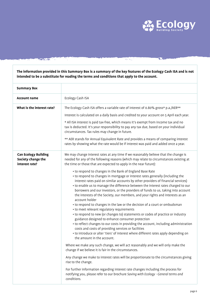

राष्ट्र

**The information provided in this Summary Box is a summary of the key features of the Ecology Cash ISA and is not intended to be a substitute for reading the terms and conditions that apply to the account.**

 $x_0 \rightarrow_{\mathcal{O}_\Delta}$ 

Maria Marin

| <b>Summary Box</b>                                                  |                                                                                                                                                                                                                                                                                                                                                                                                                                                                                                                                                                                                                                                                                                                                                                                                                                                                                                                                                                                                                                                                                                                                                                                                                                                                                                                                                                                                                                                                                                                                                                                                                                                                                                                                                                      |
|---------------------------------------------------------------------|----------------------------------------------------------------------------------------------------------------------------------------------------------------------------------------------------------------------------------------------------------------------------------------------------------------------------------------------------------------------------------------------------------------------------------------------------------------------------------------------------------------------------------------------------------------------------------------------------------------------------------------------------------------------------------------------------------------------------------------------------------------------------------------------------------------------------------------------------------------------------------------------------------------------------------------------------------------------------------------------------------------------------------------------------------------------------------------------------------------------------------------------------------------------------------------------------------------------------------------------------------------------------------------------------------------------------------------------------------------------------------------------------------------------------------------------------------------------------------------------------------------------------------------------------------------------------------------------------------------------------------------------------------------------------------------------------------------------------------------------------------------------|
| <b>Account name</b>                                                 | Ecology Cash ISA                                                                                                                                                                                                                                                                                                                                                                                                                                                                                                                                                                                                                                                                                                                                                                                                                                                                                                                                                                                                                                                                                                                                                                                                                                                                                                                                                                                                                                                                                                                                                                                                                                                                                                                                                     |
| What is the interest rate?                                          | The Ecology Cash ISA offers a variable rate of interest of 0.80% gross* p.a./AER**<br>Interest is calculated on a daily basis and credited to your account on 5 April each year.<br>* All ISA interest is paid tax-free, which means it's exempt from income tax and no<br>tax is deducted. It's your responsibility to pay any tax due, based on your individual<br>circumstances. Tax rules may change in future.<br>** AER stands for Annual Equivalent Rate and provides a means of comparing interest                                                                                                                                                                                                                                                                                                                                                                                                                                                                                                                                                                                                                                                                                                                                                                                                                                                                                                                                                                                                                                                                                                                                                                                                                                                           |
|                                                                     | rates by showing what the rate would be if interest was paid and added once a year.                                                                                                                                                                                                                                                                                                                                                                                                                                                                                                                                                                                                                                                                                                                                                                                                                                                                                                                                                                                                                                                                                                                                                                                                                                                                                                                                                                                                                                                                                                                                                                                                                                                                                  |
| <b>Can Ecology Building</b><br>Society change the<br>interest rate? | We may change interest rates at any time if we reasonably believe that the change is<br>needed for any of the following reasons (which may relate to circumstances existing at<br>the time or those that are expected to apply in the near future):<br>• to respond to changes in the Bank of England Base Rate<br>• to respond to changes in mortgage or interest rates generally (including the<br>interest rates paid on similar accounts by other providers of financial services)<br>• to enable us to manage the difference between the interest rates charged to our<br>borrowers and our investors, or the providers of funds to us, taking into account<br>the interests of the Society, our members, and your rights and interests as an<br>account holder<br>• to respond to changes in the law or the decision of a court or ombudsman<br>• to meet relevant regulatory requirements<br>• to respond to new (or changes to) statements or codes of practice or industry<br>guidance designed to enhance consumer protection<br>• to reflect changes to our costs in providing the account, including administration<br>costs and costs of providing services or facilities<br>• to introduce or alter 'tiers' of interest where different rates apply depending on<br>the amount in the account.<br>Where we make any such change, we will act reasonably and we will only make the<br>change if we believe it is fair in the circumstances.<br>Any change we make to interest rates will be proportionate to the circumstances giving<br>rise to the change.<br>For further information regarding interest rate changes including the process for<br>notifying you, please refer to our brochure Saving with Ecology - General terms and<br>conditions. |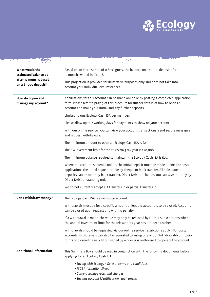

| What would the<br>estimated balance be<br>after 12 months based<br>on a £1,000 deposit? | Based on an interest rate of 0.80% gross, the balance on a £1,000 deposit after<br>12 months would be £1,008.<br>This projection is provided for illustrative purposes only and does not take into<br>account your individual circumstances.                                                                                                                                                                                                                                                                                                                                                                                                                                                                                                                                                                                                                                                                                                                                                                                                                                        |
|-----------------------------------------------------------------------------------------|-------------------------------------------------------------------------------------------------------------------------------------------------------------------------------------------------------------------------------------------------------------------------------------------------------------------------------------------------------------------------------------------------------------------------------------------------------------------------------------------------------------------------------------------------------------------------------------------------------------------------------------------------------------------------------------------------------------------------------------------------------------------------------------------------------------------------------------------------------------------------------------------------------------------------------------------------------------------------------------------------------------------------------------------------------------------------------------|
| How do I open and<br>manage my account?                                                 | Applications for this account can be made online or by posting a completed application<br>form. Please refer to page 5 of this brochure for further details of how to open an<br>account and make your initial and any further deposits.<br>Limited to one Ecology Cash ISA per member.<br>Please allow up to 2 working days for payments to show on your account.<br>With our online service, you can view your account transactions, send secure messages<br>and request withdrawals.<br>The minimum amount to open an Ecology Cash ISA is £25.<br>The ISA investment limit for the 2022/2023 tax year is £20,000.<br>The minimum balance required to maintain the Ecology Cash ISA is £25.<br>Where the account is opened online, the initial deposit must be made online. For postal<br>applications the initial deposit can be by cheque or bank transfer. All subsequent<br>deposits can be made by bank transfer, Direct Debit or cheque. You can save monthly by<br>Direct Debit or standing order.<br>We do not currently accept ISA transfers in or partial transfers in. |
| Can I withdraw money?                                                                   | The Ecology Cash ISA is a no notice account.<br>Withdrawals must be for a specific amount unless the account is to be closed. Accounts<br>can be closed upon request and with no penalty.<br>If a withdrawal is made, the value may only be replaced by further subscriptions where<br>the annual investment limit for the relevant tax year has not been reached.<br>Withdrawals should be requested via our online service (restrictions apply). For postal<br>accounts, withdrawals can also be requested by using one of our Withdrawal/Notification<br>forms or by sending us a letter signed by whoever is authorised to operate the account.                                                                                                                                                                                                                                                                                                                                                                                                                                 |
| <b>Additional information</b>                                                           | This Summary Box should be read in conjunction with the following documents before<br>applying for an Ecology Cash ISA:<br>· Saving with Ecology - General terms and conditions<br>• FSCS Information Sheet<br>• Current savings rates and charges<br>· Savings account identification requirements                                                                                                                                                                                                                                                                                                                                                                                                                                                                                                                                                                                                                                                                                                                                                                                 |

Ŧ